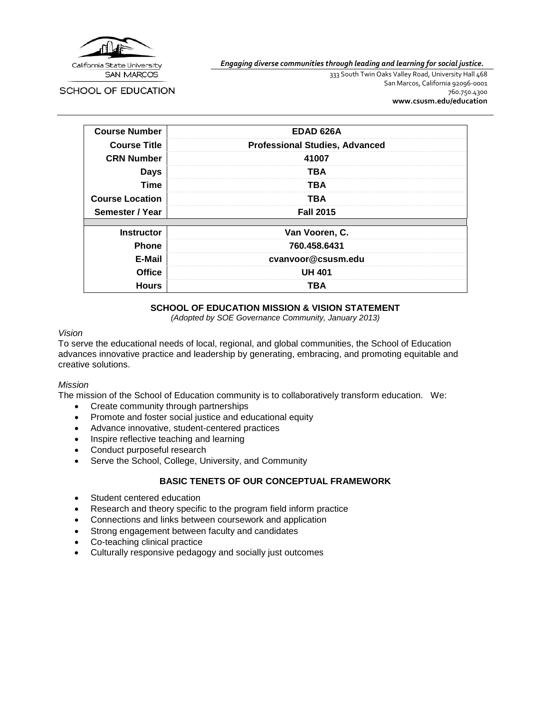

*Engaging diverse communities through leading and learning for social justice.*

**SCHOOL OF EDUCATION** 

333 South Twin Oaks Valley Road, University Hall 468 San Marcos, California 92096-0001 760.750.4300 **[www.csusm.edu/education](http://www.csusm.edu/education)**

| <b>Course Number</b>   | EDAD 626A                             |  |  |
|------------------------|---------------------------------------|--|--|
| <b>Course Title</b>    | <b>Professional Studies, Advanced</b> |  |  |
| <b>CRN Number</b>      | 41007                                 |  |  |
| <b>Days</b>            | TBA                                   |  |  |
| <b>Time</b>            | <b>TBA</b>                            |  |  |
| <b>Course Location</b> | <b>TBA</b>                            |  |  |
| Semester / Year        | <b>Fall 2015</b>                      |  |  |
|                        |                                       |  |  |
| <b>Instructor</b>      | Van Vooren, C.                        |  |  |
| <b>Phone</b>           | 760.458.6431                          |  |  |
| E-Mail                 | cvanvoor@csusm.edu                    |  |  |
| <b>Office</b>          | <b>UH 401</b>                         |  |  |
| <b>Hours</b>           | TBA                                   |  |  |

#### **SCHOOL OF EDUCATION MISSION & VISION STATEMENT**

*(Adopted by SOE Governance Community, January 2013)*

#### *Vision*

To serve the educational needs of local, regional, and global communities, the School of Education advances innovative practice and leadership by generating, embracing, and promoting equitable and creative solutions.

#### *Mission*

The mission of the School of Education community is to collaboratively transform education. We:

- Create community through partnerships
- Promote and foster social justice and educational equity
- Advance innovative, student-centered practices
- Inspire reflective teaching and learning
- Conduct purposeful research
- Serve the School, College, University, and Community

#### **BASIC TENETS OF OUR CONCEPTUAL FRAMEWORK**

- Student centered education
- Research and theory specific to the program field inform practice
- Connections and links between coursework and application
- Strong engagement between faculty and candidates
- Co-teaching clinical practice
- Culturally responsive pedagogy and socially just outcomes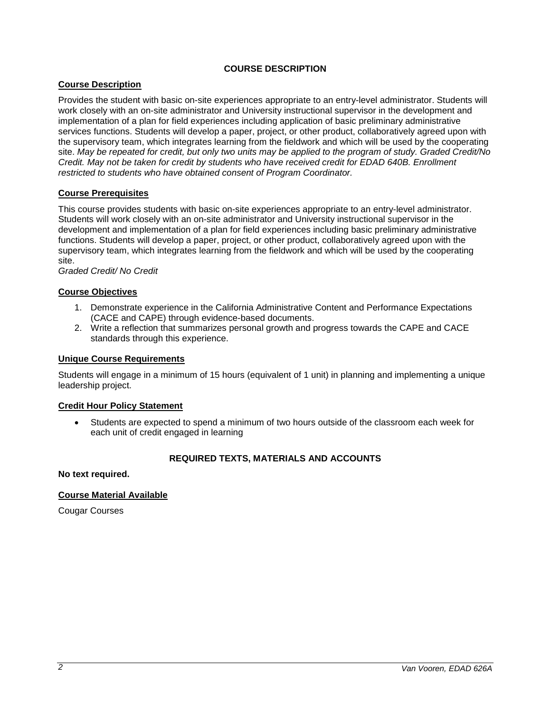# **COURSE DESCRIPTION**

# **Course Description**

Provides the student with basic on-site experiences appropriate to an entry-level administrator. Students will work closely with an on-site administrator and University instructional supervisor in the development and implementation of a plan for field experiences including application of basic preliminary administrative services functions. Students will develop a paper, project, or other product, collaboratively agreed upon with the supervisory team, which integrates learning from the fieldwork and which will be used by the cooperating site. *May be repeated for credit, but only two units may be applied to the program of study. Graded Credit/No Credit. May not be taken for credit by students who have received credit for EDAD 640B. Enrollment restricted to students who have obtained consent of Program Coordinator.*

#### **Course Prerequisites**

This course provides students with basic on-site experiences appropriate to an entry-level administrator. Students will work closely with an on-site administrator and University instructional supervisor in the development and implementation of a plan for field experiences including basic preliminary administrative functions. Students will develop a paper, project, or other product, collaboratively agreed upon with the supervisory team, which integrates learning from the fieldwork and which will be used by the cooperating site.

*Graded Credit/ No Credit*

# **Course Objectives**

- 1. Demonstrate experience in the California Administrative Content and Performance Expectations (CACE and CAPE) through evidence-based documents.
- 2. Write a reflection that summarizes personal growth and progress towards the CAPE and CACE standards through this experience.

#### **Unique Course Requirements**

Students will engage in a minimum of 15 hours (equivalent of 1 unit) in planning and implementing a unique leadership project.

#### **Credit Hour Policy Statement**

• Students are expected to spend a minimum of two hours outside of the classroom each week for each unit of credit engaged in learning

# **REQUIRED TEXTS, MATERIALS AND ACCOUNTS**

#### **No text required.**

# **Course Material Available**

Cougar Courses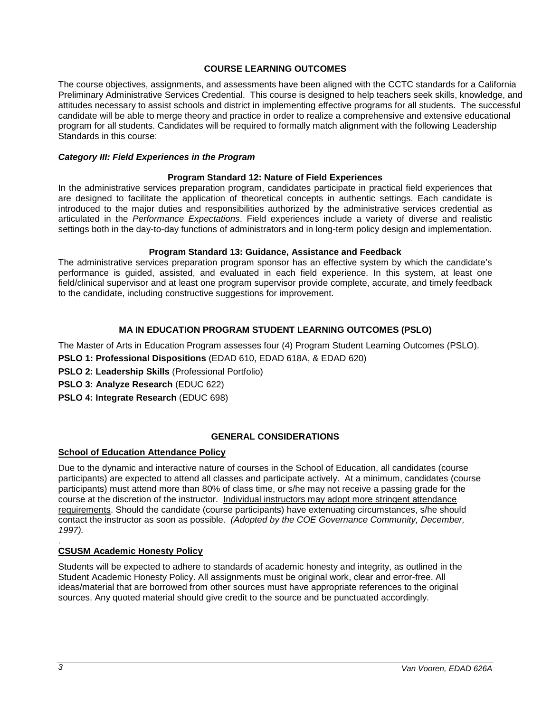#### **COURSE LEARNING OUTCOMES**

The course objectives, assignments, and assessments have been aligned with the CCTC standards for a California Preliminary Administrative Services Credential. This course is designed to help teachers seek skills, knowledge, and attitudes necessary to assist schools and district in implementing effective programs for all students. The successful candidate will be able to merge theory and practice in order to realize a comprehensive and extensive educational program for all students. Candidates will be required to formally match alignment with the following Leadership Standards in this course:

#### *Category III: Field Experiences in the Program*

#### **Program Standard 12: Nature of Field Experiences**

In the administrative services preparation program, candidates participate in practical field experiences that are designed to facilitate the application of theoretical concepts in authentic settings. Each candidate is introduced to the major duties and responsibilities authorized by the administrative services credential as articulated in the *Performance Expectations*. Field experiences include a variety of diverse and realistic settings both in the day-to-day functions of administrators and in long-term policy design and implementation.

#### **Program Standard 13: Guidance, Assistance and Feedback**

The administrative services preparation program sponsor has an effective system by which the candidate's performance is guided, assisted, and evaluated in each field experience. In this system, at least one field/clinical supervisor and at least one program supervisor provide complete, accurate, and timely feedback to the candidate, including constructive suggestions for improvement.

# **MA IN EDUCATION PROGRAM STUDENT LEARNING OUTCOMES (PSLO)**

The Master of Arts in Education Program assesses four (4) Program Student Learning Outcomes (PSLO).

**PSLO 1: Professional Dispositions** (EDAD 610, EDAD 618A, & EDAD 620)

- **PSLO 2: Leadership Skills** (Professional Portfolio)
- **PSLO 3: Analyze Research** (EDUC 622)
- **PSLO 4: Integrate Research** (EDUC 698)

# **GENERAL CONSIDERATIONS**

# **School of Education Attendance Policy**

Due to the dynamic and interactive nature of courses in the School of Education, all candidates (course participants) are expected to attend all classes and participate actively. At a minimum, candidates (course participants) must attend more than 80% of class time, or s/he may not receive a passing grade for the course at the discretion of the instructor. Individual instructors may adopt more stringent attendance requirements. Should the candidate (course participants) have extenuating circumstances, s/he should contact the instructor as soon as possible. *(Adopted by the COE Governance Community, December, 1997).*

#### . **CSUSM Academic Honesty Policy**

Students will be expected to adhere to standards of academic honesty and integrity, as outlined in the Student Academic Honesty Policy. All assignments must be original work, clear and error-free. All ideas/material that are borrowed from other sources must have appropriate references to the original sources. Any quoted material should give credit to the source and be punctuated accordingly.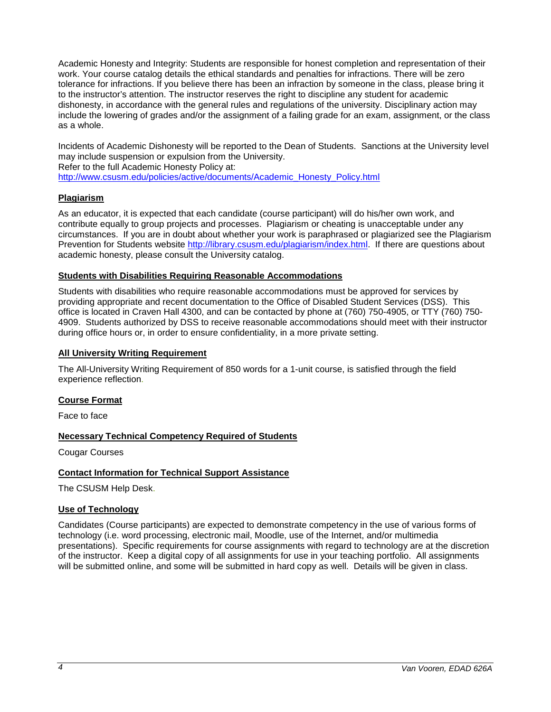Academic Honesty and Integrity: Students are responsible for honest completion and representation of their work. Your course catalog details the ethical standards and penalties for infractions. There will be zero tolerance for infractions. If you believe there has been an infraction by someone in the class, please bring it to the instructor's attention. The instructor reserves the right to discipline any student for academic dishonesty, in accordance with the general rules and regulations of the university. Disciplinary action may include the lowering of grades and/or the assignment of a failing grade for an exam, assignment, or the class as a whole.

Incidents of Academic Dishonesty will be reported to the Dean of Students. Sanctions at the University level may include suspension or expulsion from the University. Refer to the full Academic Honesty Policy at:

[http://www.csusm.edu/policies/active/documents/Academic\\_Honesty\\_Policy.html](http://www.csusm.edu/policies/active/documents/Academic_Honesty_Policy.html)

# **Plagiarism**

As an educator, it is expected that each candidate (course participant) will do his/her own work, and contribute equally to group projects and processes. Plagiarism or cheating is unacceptable under any circumstances. If you are in doubt about whether your work is paraphrased or plagiarized see the Plagiarism Prevention for Students website [http://library.csusm.edu/plagiarism/index.html.](http://library.csusm.edu/plagiarism/index.html) If there are questions about academic honesty, please consult the University catalog.

#### **Students with Disabilities Requiring Reasonable Accommodations**

Students with disabilities who require reasonable accommodations must be approved for services by providing appropriate and recent documentation to the Office of Disabled Student Services (DSS). This office is located in Craven Hall 4300, and can be contacted by phone at (760) 750-4905, or TTY (760) 750- 4909. Students authorized by DSS to receive reasonable accommodations should meet with their instructor during office hours or, in order to ensure confidentiality, in a more private setting.

# **All University Writing Requirement**

The All-University Writing Requirement of 850 words for a 1-unit course, is satisfied through the field experience reflection.

# **Course Format**

Face to face

# **Necessary Technical Competency Required of Students**

Cougar Courses

# **Contact Information for Technical Support Assistance**

The CSUSM Help Desk.

# **Use of Technology**

Candidates (Course participants) are expected to demonstrate competency in the use of various forms of technology (i.e. word processing, electronic mail, Moodle, use of the Internet, and/or multimedia presentations). Specific requirements for course assignments with regard to technology are at the discretion of the instructor. Keep a digital copy of all assignments for use in your teaching portfolio. All assignments will be submitted online, and some will be submitted in hard copy as well. Details will be given in class.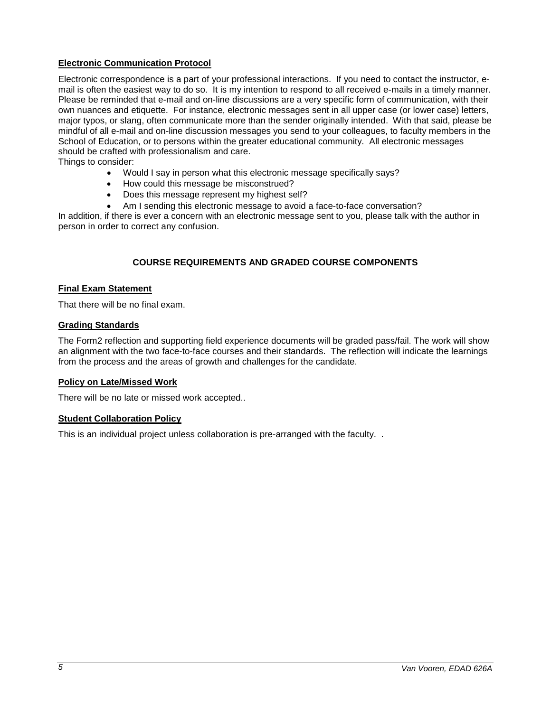# **Electronic Communication Protocol**

Electronic correspondence is a part of your professional interactions. If you need to contact the instructor, email is often the easiest way to do so. It is my intention to respond to all received e-mails in a timely manner. Please be reminded that e-mail and on-line discussions are a very specific form of communication, with their own nuances and etiquette. For instance, electronic messages sent in all upper case (or lower case) letters, major typos, or slang, often communicate more than the sender originally intended. With that said, please be mindful of all e-mail and on-line discussion messages you send to your colleagues, to faculty members in the School of Education, or to persons within the greater educational community. All electronic messages should be crafted with professionalism and care.

Things to consider:

- Would I say in person what this electronic message specifically says?
- How could this message be misconstrued?
- Does this message represent my highest self?
- Am I sending this electronic message to avoid a face-to-face conversation?

In addition, if there is ever a concern with an electronic message sent to you, please talk with the author in person in order to correct any confusion.

# **COURSE REQUIREMENTS AND GRADED COURSE COMPONENTS**

#### **Final Exam Statement**

That there will be no final exam.

#### **Grading Standards**

The Form2 reflection and supporting field experience documents will be graded pass/fail. The work will show an alignment with the two face-to-face courses and their standards. The reflection will indicate the learnings from the process and the areas of growth and challenges for the candidate.

# **Policy on Late/Missed Work**

There will be no late or missed work accepted..

# **Student Collaboration Policy**

This is an individual project unless collaboration is pre-arranged with the faculty. .